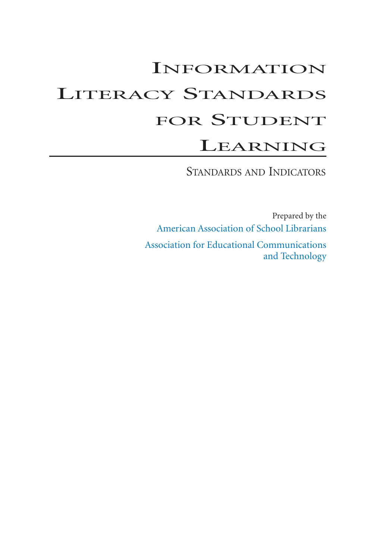# INFORMATION LITERACY STANDARDS FOR STUDENT LEARNING

STANDARDS AND INDICATORS

Prepared by the [American Association of School Librarians](http://www.ala.org/aaslhomeTemplate.cfm?Section=aasl&Template=/TaggedPage/TaggedPageDisplay.cfm&TPLID=17&ContentID=23240) [Association for Educational Communications](http://www.aect.org) and Technology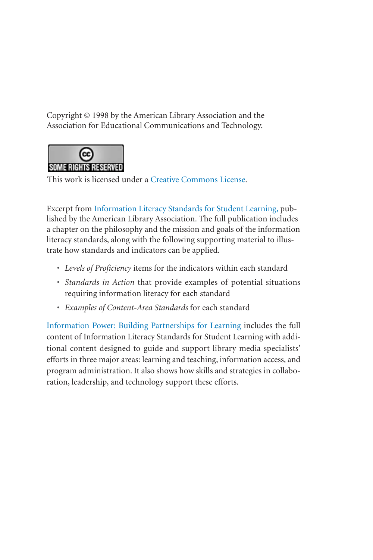Copyright © 1998 by the American Library Association and the Association for Educational Communications and Technology.



This work is licensed under a [Creative Commons License.](http://creativecommons.org/licenses/by-nc-nd/2.0/)

Excerpt from [Information Literacy Standards for Student Learning,](http://www.alastore.ala.org/SiteSolution.taf?_sn=catalog2&_pn=product_detail&_op=345) published by the American Library Association. The full publication includes a chapter on the philosophy and the mission and goals of the information literacy standards, along with the following supporting material to illustrate how standards and indicators can be applied.

- *Levels of Proficiency* items for the indicators within each standard
- *Standards in Action* that provide examples of potential situations requiring information literacy for each standard
- *Examples of Content-Area Standards* for each standard

[Information Power: Building Partnerships for Learning](http://www.alastore.ala.org/SiteSolution.taf?_sn=catalog2&_pn=product_detail&_op=344) includes the full content of Information Literacy Standards for Student Learning with additional content designed to guide and support library media specialists' efforts in three major areas: learning and teaching, information access, and program administration. It also shows how skills and strategies in collaboration, leadership, and technology support these efforts.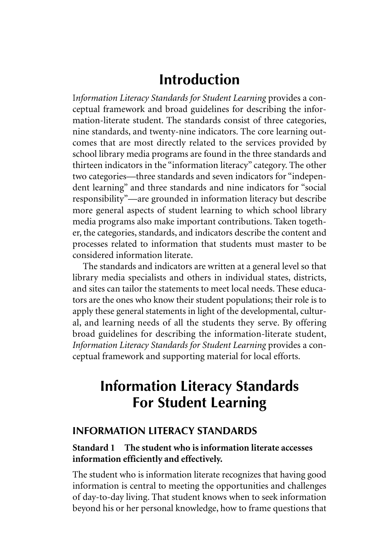# **Introduction**

I*nformation Literacy Standards for Student Learning* provides a conceptual framework and broad guidelines for describing the information-literate student. The standards consist of three categories, nine standards, and twenty-nine indicators. The core learning outcomes that are most directly related to the services provided by school library media programs are found in the three standards and thirteen indicators in the "information literacy" category. The other two categories—three standards and seven indicators for "independent learning" and three standards and nine indicators for "social responsibility"—are grounded in information literacy but describe more general aspects of student learning to which school library media programs also make important contributions. Taken together, the categories, standards, and indicators describe the content and processes related to information that students must master to be considered information literate.

The standards and indicators are written at a general level so that library media specialists and others in individual states, districts, and sites can tailor the statements to meet local needs. These educators are the ones who know their student populations; their role is to apply these general statements in light of the developmental, cultural, and learning needs of all the students they serve. By offering broad guidelines for describing the information-literate student, *Information Literacy Standards for Student Learning* provides a conceptual framework and supporting material for local efforts.

# **Information Literacy Standards For Student Learning**

#### **INFORMATION LITERACY STANDARDS**

#### **Standard 1 The student who is information literate accesses information efficiently and effectively.**

The student who is information literate recognizes that having good information is central to meeting the opportunities and challenges of day-to-day living. That student knows when to seek information beyond his or her personal knowledge, how to frame questions that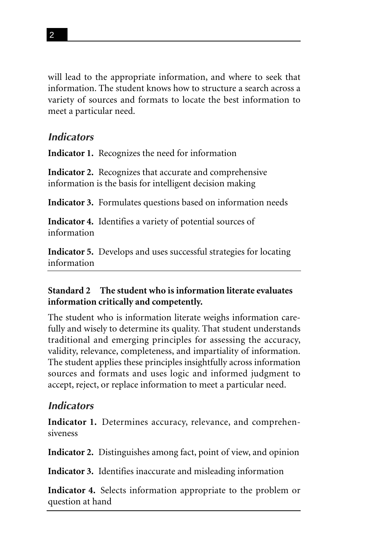will lead to the appropriate information, and where to seek that information. The student knows how to structure a search across a variety of sources and formats to locate the best information to meet a particular need.

#### **Indicators**

**Indicator 1.** Recognizes the need for information

**Indicator 2.** Recognizes that accurate and comprehensive information is the basis for intelligent decision making

**Indicator 3.** Formulates questions based on information needs

**Indicator 4.** Identifies a variety of potential sources of information

**Indicator 5.** Develops and uses successful strategies for locating information

#### **Standard 2 The student who is information literate evaluates information critically and competently.**

The student who is information literate weighs information carefully and wisely to determine its quality. That student understands traditional and emerging principles for assessing the accuracy, validity, relevance, completeness, and impartiality of information. The student applies these principles insightfully across information sources and formats and uses logic and informed judgment to accept, reject, or replace information to meet a particular need.

#### **Indicators**

**Indicator 1.** Determines accuracy, relevance, and comprehensiveness

**Indicator 2.** Distinguishes among fact, point of view, and opinion

**Indicator 3.** Identifies inaccurate and misleading information

**Indicator 4.** Selects information appropriate to the problem or question at hand

2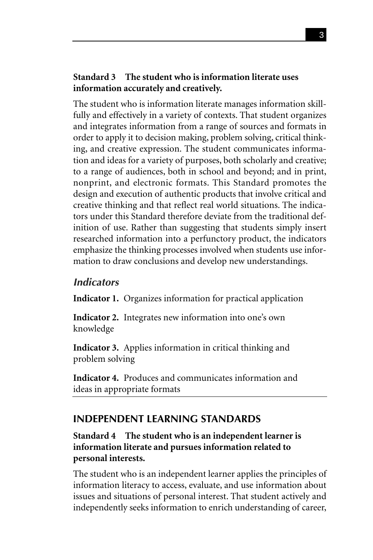#### **Standard 3 The student who is information literate uses information accurately and creatively.**

The student who is information literate manages information skillfully and effectively in a variety of contexts. That student organizes and integrates information from a range of sources and formats in order to apply it to decision making, problem solving, critical thinking, and creative expression. The student communicates information and ideas for a variety of purposes, both scholarly and creative; to a range of audiences, both in school and beyond; and in print, nonprint, and electronic formats. This Standard promotes the design and execution of authentic products that involve critical and creative thinking and that reflect real world situations. The indicators under this Standard therefore deviate from the traditional definition of use. Rather than suggesting that students simply insert researched information into a perfunctory product, the indicators emphasize the thinking processes involved when students use information to draw conclusions and develop new understandings.

#### **Indicators**

**Indicator 1.** Organizes information for practical application

**Indicator 2.** Integrates new information into one's own knowledge

**Indicator 3.** Applies information in critical thinking and problem solving

**Indicator 4.** Produces and communicates information and ideas in appropriate formats

#### **INDEPENDENT LEARNING STANDARDS**

#### **Standard 4 The student who is an independent learner is information literate and pursues information related to personal interests.**

The student who is an independent learner applies the principles of information literacy to access, evaluate, and use information about issues and situations of personal interest. That student actively and independently seeks information to enrich understanding of career,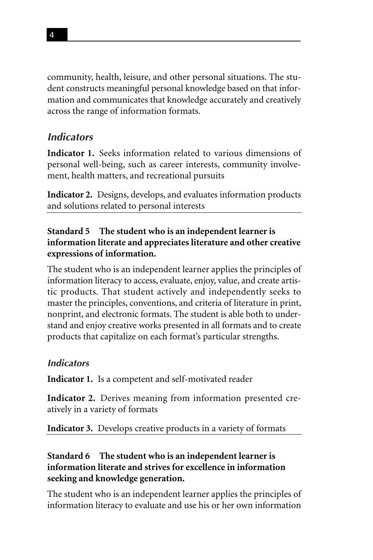community, health, leisure, and other personal situations. The student constructs meaningful personal knowledge based on that information and communicates that knowledge accurately and creatively across the range of information formats.

# **Indicators**

**Indicator 1.** Seeks information related to various dimensions of personal well-being, such as career interests, community involvement, health matters, and recreational pursuits

**Indicator 2.** Designs, develops, and evaluates information products and solutions related to personal interests

#### **Standard 5 The student who is an independent learner is information literate and appreciates literature and other creative expressions of information.**

The student who is an independent learner applies the principles of information literacy to access, evaluate, enjoy, value, and create artistic products. That student actively and independently seeks to master the principles, conventions, and criteria of literature in print, nonprint, and electronic formats. The student is able both to understand and enjoy creative works presented in all formats and to create products that capitalize on each format's particular strengths.

#### **Indicators**

**Indicator 1.** Is a competent and self-motivated reader

**Indicator 2.** Derives meaning from information presented creatively in a variety of formats

#### **Indicator 3.** Develops creative products in a variety of formats

#### **Standard 6 The student who is an independent learner is information literate and strives for excellence in information seeking and knowledge generation.**

The student who is an independent learner applies the principles of information literacy to evaluate and use his or her own information

4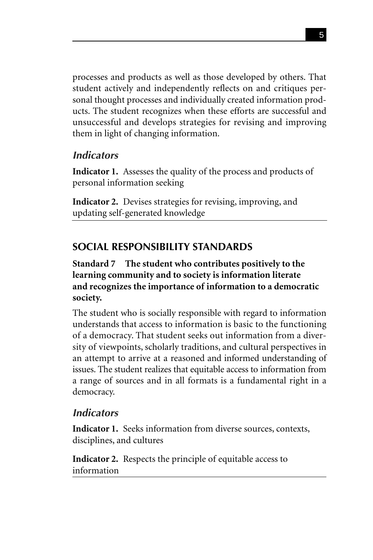processes and products as well as those developed by others. That student actively and independently reflects on and critiques personal thought processes and individually created information products. The student recognizes when these efforts are successful and unsuccessful and develops strategies for revising and improving them in light of changing information.

### **Indicators**

**Indicator 1.** Assesses the quality of the process and products of personal information seeking

**Indicator 2.** Devises strategies for revising, improving, and updating self-generated knowledge

## **SOCIAL RESPONSIBILITY STANDARDS**

#### **Standard 7 The student who contributes positively to the learning community and to society is information literate and recognizes the importance of information to a democratic society.**

The student who is socially responsible with regard to information understands that access to information is basic to the functioning of a democracy. That student seeks out information from a diversity of viewpoints, scholarly traditions, and cultural perspectives in an attempt to arrive at a reasoned and informed understanding of issues. The student realizes that equitable access to information from a range of sources and in all formats is a fundamental right in a democracy.

#### **Indicators**

**Indicator 1.** Seeks information from diverse sources, contexts, disciplines, and cultures

**Indicator 2.** Respects the principle of equitable access to information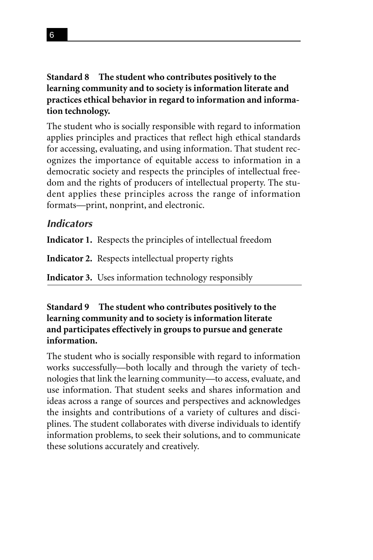#### **Standard 8 The student who contributes positively to the learning community and to society is information literate and practices ethical behavior in regard to information and information technology.**

The student who is socially responsible with regard to information applies principles and practices that reflect high ethical standards for accessing, evaluating, and using information. That student recognizes the importance of equitable access to information in a democratic society and respects the principles of intellectual freedom and the rights of producers of intellectual property. The student applies these principles across the range of information formats—print, nonprint, and electronic.

## **Indicators**

**Indicator 1.** Respects the principles of intellectual freedom

**Indicator 2.** Respects intellectual property rights

**Indicator 3.** Uses information technology responsibly

#### **Standard 9 The student who contributes positively to the learning community and to society is information literate and participates effectively in groups to pursue and generate information.**

The student who is socially responsible with regard to information works successfully—both locally and through the variety of technologies that link the learning community—to access, evaluate, and use information. That student seeks and shares information and ideas across a range of sources and perspectives and acknowledges the insights and contributions of a variety of cultures and disciplines. The student collaborates with diverse individuals to identify information problems, to seek their solutions, and to communicate these solutions accurately and creatively.